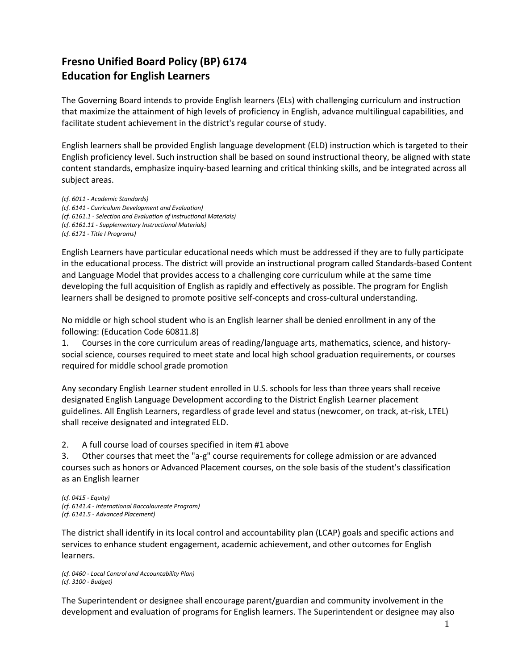# **Fresno Unified Board Policy (BP) 6174 Education for English Learners**

The Governing Board intends to provide English learners (ELs) with challenging curriculum and instruction that maximize the attainment of high levels of proficiency in English, advance multilingual capabilities, and facilitate student achievement in the district's regular course of study.

English learners shall be provided English language development (ELD) instruction which is targeted to their English proficiency level. Such instruction shall be based on sound instructional theory, be aligned with state content standards, emphasize inquiry-based learning and critical thinking skills, and be integrated across all subject areas.

*(cf. 6011 - Academic Standards) (cf. 6141 - Curriculum Development and Evaluation) (cf. 6161.1 - Selection and Evaluation of Instructional Materials) (cf. 6161.11 - Supplementary Instructional Materials) (cf. 6171 - Title I Programs)*

English Learners have particular educational needs which must be addressed if they are to fully participate in the educational process. The district will provide an instructional program called Standards-based Content and Language Model that provides access to a challenging core curriculum while at the same time developing the full acquisition of English as rapidly and effectively as possible. The program for English learners shall be designed to promote positive self-concepts and cross-cultural understanding.

No middle or high school student who is an English learner shall be denied enrollment in any of the following: (Education Code 60811.8)

1. Courses in the core curriculum areas of reading/language arts, mathematics, science, and historysocial science, courses required to meet state and local high school graduation requirements, or courses required for middle school grade promotion

Any secondary English Learner student enrolled in U.S. schools for less than three years shall receive designated English Language Development according to the District English Learner placement guidelines. All English Learners, regardless of grade level and status (newcomer, on track, at-risk, LTEL) shall receive designated and integrated ELD.

2. A full course load of courses specified in item #1 above

3. Other courses that meet the "a-g" course requirements for college admission or are advanced courses such as honors or Advanced Placement courses, on the sole basis of the student's classification as an English learner

*(cf. 0415 - Equity) (cf. 6141.4 - International Baccalaureate Program) (cf. 6141.5 - Advanced Placement)*

The district shall identify in its local control and accountability plan (LCAP) goals and specific actions and services to enhance student engagement, academic achievement, and other outcomes for English learners.

*(cf. 0460 - Local Control and Accountability Plan) (cf. 3100 - Budget)*

The Superintendent or designee shall encourage parent/guardian and community involvement in the development and evaluation of programs for English learners. The Superintendent or designee may also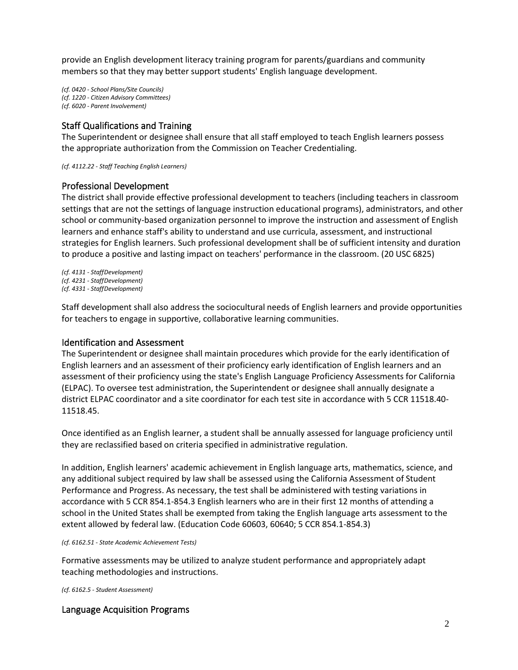provide an English development literacy training program for parents/guardians and community members so that they may better support students' English language development.

*(cf. 0420 - School Plans/Site Councils) (cf. 1220 - Citizen Advisory Committees) (cf. 6020 - Parent Involvement)*

## Staff Qualifications and Training

The Superintendent or designee shall ensure that all staff employed to teach English learners possess the appropriate authorization from the Commission on Teacher Credentialing.

*(cf. 4112.22 - Staff Teaching English Learners)*

## Professional Development

The district shall provide effective professional development to teachers (including teachers in classroom settings that are not the settings of language instruction educational programs), administrators, and other school or community-based organization personnel to improve the instruction and assessment of English learners and enhance staff's ability to understand and use curricula, assessment, and instructional strategies for English learners. Such professional development shall be of sufficient intensity and duration to produce a positive and lasting impact on teachers' performance in the classroom. (20 USC 6825)

*(cf. 4131 - StaffDevelopment) (cf. 4231 - StaffDevelopment) (cf. 4331 - StaffDevelopment)*

Staff development shall also address the sociocultural needs of English learners and provide opportunities for teachers to engage in supportive, collaborative learning communities.

## Identification and Assessment

The Superintendent or designee shall maintain procedures which provide for the early identification of English learners and an assessment of their proficiency early identification of English learners and an assessment of their proficiency using the state's English Language Proficiency Assessments for California (ELPAC). To oversee test administration, the Superintendent or designee shall annually designate a district ELPAC coordinator and a site coordinator for each test site in accordance with 5 CCR 11518.40- 11518.45.

Once identified as an English learner, a student shall be annually assessed for language proficiency until they are reclassified based on criteria specified in administrative regulation.

In addition, English learners' academic achievement in English language arts, mathematics, science, and any additional subject required by law shall be assessed using the California Assessment of Student Performance and Progress. As necessary, the test shall be administered with testing variations in accordance with 5 CCR 854.1-854.3 English learners who are in their first 12 months of attending a school in the United States shall be exempted from taking the English language arts assessment to the extent allowed by federal law. (Education Code 60603, 60640; 5 CCR 854.1-854.3)

*(cf. 6162.51 - State Academic Achievement Tests)*

Formative assessments may be utilized to analyze student performance and appropriately adapt teaching methodologies and instructions.

*(cf. 6162.5 - Student Assessment)*

# Language Acquisition Programs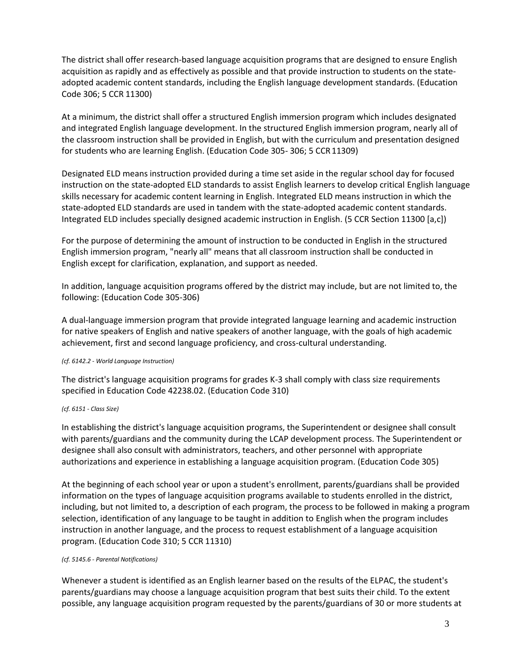The district shall offer research-based language acquisition programs that are designed to ensure English acquisition as rapidly and as effectively as possible and that provide instruction to students on the stateadopted academic content standards, including the English language development standards. (Education Code 306; 5 CCR 11300)

At a minimum, the district shall offer a structured English immersion program which includes designated and integrated English language development. In the structured English immersion program, nearly all of the classroom instruction shall be provided in English, but with the curriculum and presentation designed for students who are learning English. (Education Code 305- 306; 5 CCR11309)

Designated ELD means instruction provided during a time set aside in the regular school day for focused instruction on the state-adopted ELD standards to assist English learners to develop critical English language skills necessary for academic content learning in English. Integrated ELD means instruction in which the state-adopted ELD standards are used in tandem with the state-adopted academic content standards. Integrated ELD includes specially designed academic instruction in English. (5 CCR Section 11300 [a,c])

For the purpose of determining the amount of instruction to be conducted in English in the structured English immersion program, "nearly all" means that all classroom instruction shall be conducted in English except for clarification, explanation, and support as needed.

In addition, language acquisition programs offered by the district may include, but are not limited to, the following: (Education Code 305-306)

A dual-language immersion program that provide integrated language learning and academic instruction for native speakers of English and native speakers of another language, with the goals of high academic achievement, first and second language proficiency, and cross-cultural understanding.

#### *(cf. 6142.2 - World Language Instruction)*

The district's language acquisition programs for grades K-3 shall comply with class size requirements specified in Education Code 42238.02. (Education Code 310)

#### *(cf. 6151 - Class Size)*

In establishing the district's language acquisition programs, the Superintendent or designee shall consult with parents/guardians and the community during the LCAP development process. The Superintendent or designee shall also consult with administrators, teachers, and other personnel with appropriate authorizations and experience in establishing a language acquisition program. (Education Code 305)

At the beginning of each school year or upon a student's enrollment, parents/guardians shall be provided information on the types of language acquisition programs available to students enrolled in the district, including, but not limited to, a description of each program, the process to be followed in making a program selection, identification of any language to be taught in addition to English when the program includes instruction in another language, and the process to request establishment of a language acquisition program. (Education Code 310; 5 CCR 11310)

#### *(cf. 5145.6 - Parental Notifications)*

Whenever a student is identified as an English learner based on the results of the ELPAC, the student's parents/guardians may choose a language acquisition program that best suits their child. To the extent possible, any language acquisition program requested by the parents/guardians of 30 or more students at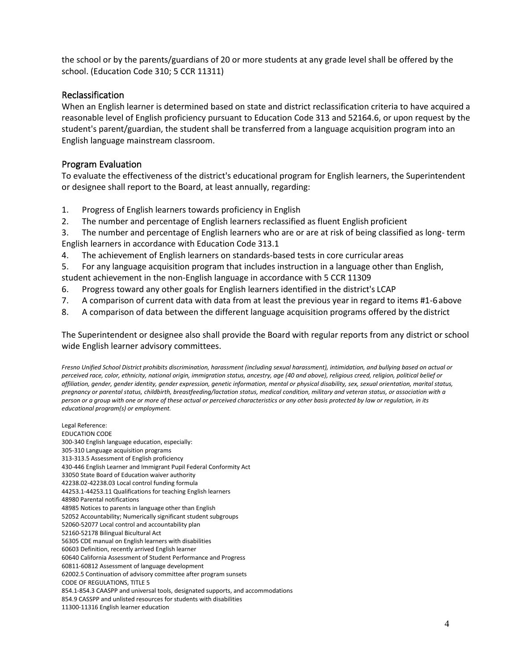the school or by the parents/guardians of 20 or more students at any grade level shall be offered by the school. (Education Code 310; 5 CCR 11311)

## Reclassification

When an English learner is determined based on state and district reclassification criteria to have acquired a reasonable level of English proficiency pursuant to Education Code 313 and 52164.6, or upon request by the student's parent/guardian, the student shall be transferred from a language acquisition program into an English language mainstream classroom.

## Program Evaluation

To evaluate the effectiveness of the district's educational program for English learners, the Superintendent or designee shall report to the Board, at least annually, regarding:

- 1. Progress of English learners towards proficiency in English
- 2. The number and percentage of English learners reclassified as fluent English proficient
- 3. The number and percentage of English learners who are or are at risk of being classified as long- term English learners in accordance with Education Code 313.1
- 4. The achievement of English learners on standards-based tests in core curricular areas
- 5. For any language acquisition program that includes instruction in a language other than English,
- student achievement in the non-English language in accordance with 5 CCR 11309
- 6. Progress toward any other goals for English learners identified in the district's LCAP
- 7. A comparison of current data with data from at least the previous year in regard to items #1-6above
- 8. A comparison of data between the different language acquisition programs offered by the district

The Superintendent or designee also shall provide the Board with regular reports from any district or school wide English learner advisory committees.

*Fresno Unified School District prohibits discrimination, harassment (including sexual harassment), intimidation, and bullying based on actual or perceived race, color, ethnicity, national origin, immigration status, ancestry, age (40 and above), religious creed, religion, political belief or affiliation, gender, gender identity, gender expression, genetic information, mental or physical disability, sex, sexual orientation, marital status, pregnancy or parental status, childbirth, breastfeeding/lactation status, medical condition, military and veteran status, or association with a person or a group with one or more of these actual or perceived characteristics or any other basis protected by law or regulation, in its educational program(s) or employment.*

Legal Reference: EDUCATION CODE 300-340 English language education, especially: 305-310 Language acquisition programs 313-313.5 Assessment of English proficiency 430-446 English Learner and Immigrant Pupil Federal Conformity Act 33050 State Board of Education waiver authority 42238.02-42238.03 Local control funding formula 44253.1-44253.11 Qualifications for teaching English learners 48980 Parental notifications 48985 Notices to parents in language other than English 52052 Accountability; Numerically significant student subgroups 52060-52077 Local control and accountability plan 52160-52178 Bilingual Bicultural Act 56305 CDE manual on English learners with disabilities 60603 Definition, recently arrived English learner 60640 California Assessment of Student Performance and Progress 60811-60812 Assessment of language development 62002.5 Continuation of advisory committee after program sunsets CODE OF REGULATIONS, TITLE 5 854.1-854.3 CAASPP and universal tools, designated supports, and accommodations 854.9 CASSPP and unlisted resources for students with disabilities 11300-11316 English learner education